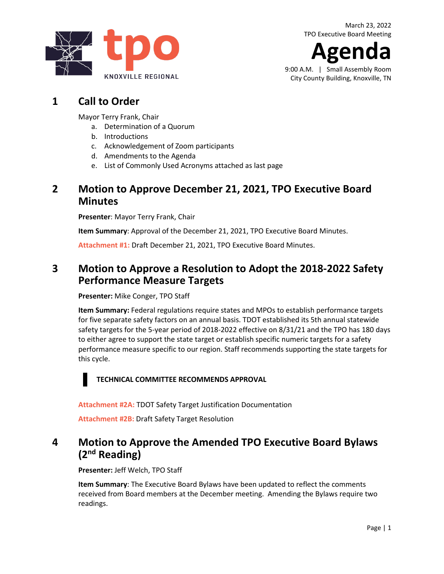**gen** 

9:00 A.M. | Small Assembly Room City County Building, Knoxville, TN

# **1 Call to Order**

Mayor Terry Frank, Chair

- a. Determination of a Quorum
- b. Introductions
- c. Acknowledgement of Zoom participants
- d. Amendments to the Agenda
- e. List of Commonly Used Acronyms attached as last page

#### **2 Motion to Approve December 21, 2021, TPO Executive Board Minutes**

**Presenter**: Mayor Terry Frank, Chair

**Item Summary**: Approval of the December 21, 2021, TPO Executive Board Minutes.

**[Attachment #1:](https://knoxtpo.org/home/meetings/exec/minutes/2021/december.pdf)** Draft December 21, 2021, TPO Executive Board Minutes.

## **3 Motion to Approve a Resolution to Adopt the 2018-2022 Safety Performance Measure Targets**

**Presenter:** Mike Conger, TPO Staff

**Item Summary:** Federal regulations require states and MPOs to establish performance targets for five separate safety factors on an annual basis. TDOT established its 5th annual statewide safety targets for the 5-year period of 2018-2022 effective on 8/31/21 and the TPO has 180 days to either agree to support the state target or establish specific numeric targets for a safety performance measure specific to our region. Staff recommends supporting the state targets for this cycle.

#### **TECHNICAL COMMITTEE RECOMMENDS APPROVAL**

**[Attachment #2A:](https://knoxtpo.org/home/meetings/exec/agendas/2022/march/2a.pdf)** TDOT Safety Target Justification Documentation

**[Attachment #2B:](https://knoxtpo.org/home/meetings/exec/agendas/2022/march/2b.pdf)** Draft Safety Target Resolution

## **4 Motion to Approve the Amended TPO Executive Board Bylaws (2nd Reading)**

**Presenter:** Jeff Welch, TPO Staff

**Item Summary**: The Executive Board Bylaws have been updated to reflect the comments received from Board members at the December meeting. Amending the Bylaws require two readings.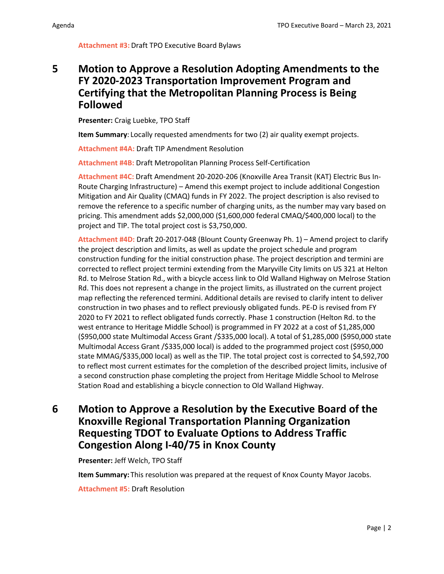#### **[Attachment #3:](https://knoxtpo.org/home/meetings/tech/agendas/2022/march/3.pdf)** Draft TPO Executive Board Bylaws

#### **5 Motion to Approve a Resolution Adopting Amendments to the FY 2020-2023 Transportation Improvement Program and Certifying that the Metropolitan Planning Process is Being Followed**

**Presenter:** Craig Luebke, TPO Staff

**Item Summary**: Locally requested amendments for two (2) air quality exempt projects.

**[Attachment #4A:](https://knoxtpo.org/home/meetings/exec/agendas/2022/march/4a.pdf)** Draft TIP Amendment Resolution

**[Attachment #4B:](https://knoxtpo.org/home/meetings/exec/agendas/2022/march/4b.pdf)** Draft Metropolitan Planning Process Self-Certification

**[Attachment #4C:](https://knoxtpo.org/home/meetings/exec/agendas/2022/march/4c.pdf)** Draft Amendment 20-2020-206 (Knoxville Area Transit (KAT) Electric Bus In-Route Charging Infrastructure) – Amend this exempt project to include additional Congestion Mitigation and Air Quality (CMAQ) funds in FY 2022. The project description is also revised to remove the reference to a specific number of charging units, as the number may vary based on pricing. This amendment adds \$2,000,000 (\$1,600,000 federal CMAQ/\$400,000 local) to the project and TIP. The total project cost is \$3,750,000.

**[Attachment #4D:](https://knoxtpo.org/home/meetings/tech/agendas/2022/march/4d.pdf)** Draft 20-2017-048 (Blount County Greenway Ph. 1) – Amend project to clarify the project description and limits, as well as update the project schedule and program construction funding for the initial construction phase. The project description and termini are corrected to reflect project termini extending from the Maryville City limits on US 321 at Helton Rd. to Melrose Station Rd., with a bicycle access link to Old Walland Highway on Melrose Station Rd. This does not represent a change in the project limits, as illustrated on the current project map reflecting the referenced termini. Additional details are revised to clarify intent to deliver construction in two phases and to reflect previously obligated funds. PE-D is revised from FY 2020 to FY 2021 to reflect obligated funds correctly. Phase 1 construction (Helton Rd. to the west entrance to Heritage Middle School) is programmed in FY 2022 at a cost of \$1,285,000 (\$950,000 state Multimodal Access Grant /\$335,000 local). A total of \$1,285,000 (\$950,000 state Multimodal Access Grant /\$335,000 local) is added to the programmed project cost (\$950,000 state MMAG/\$335,000 local) as well as the TIP. The total project cost is corrected to \$4,592,700 to reflect most current estimates for the completion of the described project limits, inclusive of a second construction phase completing the project from Heritage Middle School to Melrose Station Road and establishing a bicycle connection to Old Walland Highway.

#### **6 Motion to Approve a Resolution by the Executive Board of the Knoxville Regional Transportation Planning Organization Requesting TDOT to Evaluate Options to Address Traffic Congestion Along I-40/75 in Knox County**

**Presenter:** Jeff Welch, TPO Staff

**Item Summary:** This resolution was prepared at the request of Knox County Mayor Jacobs.

**[Attachment #5:](https://knoxtpo.org/home/meetings/exec/agendas/2022/march/5.pdf)** Draft Resolution